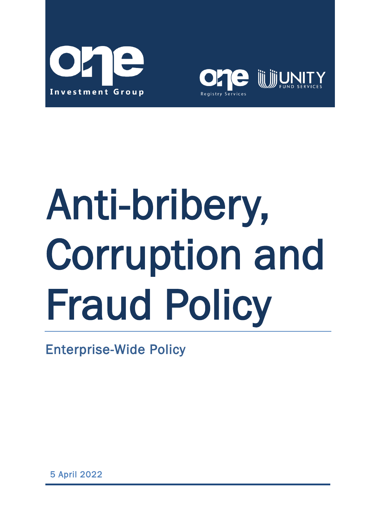



# Anti-bribery, Corruption and Fraud Policy

Enterprise-Wide Policy

5 April 2022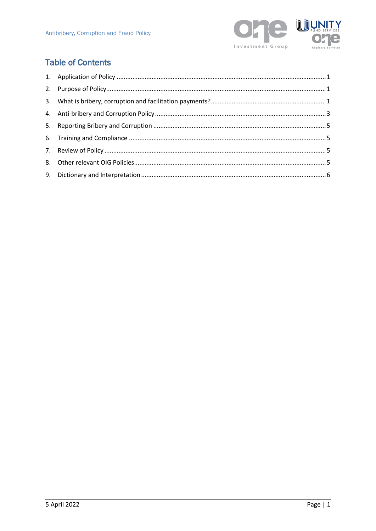

# **Table of Contents**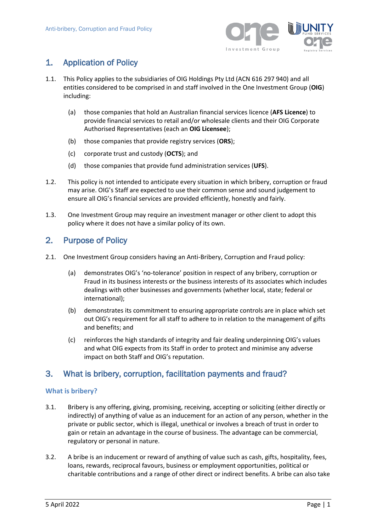

# <span id="page-2-0"></span>1. Application of Policy

- 1.1. This Policy applies to the subsidiaries of OIG Holdings Pty Ltd (ACN 616 297 940) and all entities considered to be comprised in and staff involved in the One Investment Group (**OIG**) including:
	- (a) those companies that hold an Australian financial services licence (**AFS Licence**) to provide financial services to retail and/or wholesale clients and their OIG Corporate Authorised Representatives (each an **OIG Licensee**);
	- (b) those companies that provide registry services (**ORS**);
	- (c) corporate trust and custody (**OCTS**); and
	- (d) those companies that provide fund administration services (**UFS**).
- 1.2. This policy is not intended to anticipate every situation in which bribery, corruption or fraud may arise. OIG's Staff are expected to use their common sense and sound judgement to ensure all OIG's financial services are provided efficiently, honestly and fairly.
- 1.3. One Investment Group may require an investment manager or other client to adopt this policy where it does not have a similar policy of its own.

# <span id="page-2-1"></span>2. Purpose of Policy

- 2.1. One Investment Group considers having an Anti-Bribery, Corruption and Fraud policy:
	- (a) demonstrates OIG's 'no-tolerance' position in respect of any bribery, corruption or Fraud in its business interests or the business interests of its associates which includes dealings with other businesses and governments (whether local, state; federal or international);
	- (b) demonstrates its commitment to ensuring appropriate controls are in place which set out OIG's requirement for all staff to adhere to in relation to the management of gifts and benefits; and
	- (c) reinforces the high standards of integrity and fair dealing underpinning OIG's values and what OIG expects from its Staff in order to protect and minimise any adverse impact on both Staff and OIG's reputation.

# <span id="page-2-2"></span>3. What is bribery, corruption, facilitation payments and fraud?

### **What is bribery?**

- 3.1. Bribery is any offering, giving, promising, receiving, accepting or soliciting (either directly or indirectly) of anything of value as an inducement for an action of any person, whether in the private or public sector, which is illegal, unethical or involves a breach of trust in order to gain or retain an advantage in the course of business. The advantage can be commercial, regulatory or personal in nature.
- 3.2. A bribe is an inducement or reward of anything of value such as cash, gifts, hospitality, fees, loans, rewards, reciprocal favours, business or employment opportunities, political or charitable contributions and a range of other direct or indirect benefits. A bribe can also take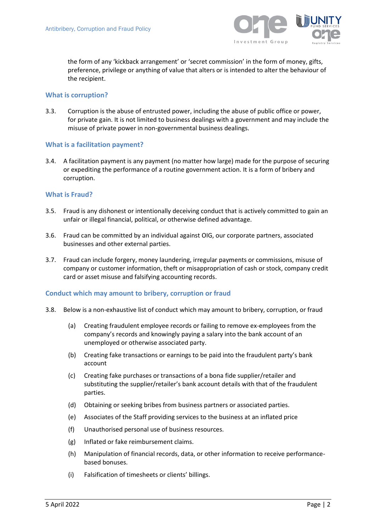

the form of any 'kickback arrangement' or 'secret commission' in the form of money, gifts, preference, privilege or anything of value that alters or is intended to alter the behaviour of the recipient.

### **What is corruption?**

3.3. Corruption is the abuse of entrusted power, including the abuse of public office or power, for private gain. It is not limited to business dealings with a government and may include the misuse of private power in non-governmental business dealings.

### **What is a facilitation payment?**

3.4. A facilitation payment is any payment (no matter how large) made for the purpose of securing or expediting the performance of a routine government action. It is a form of bribery and corruption.

### **What is Fraud?**

- 3.5. Fraud is any dishonest or intentionally deceiving conduct that is actively committed to gain an unfair or illegal financial, political, or otherwise defined advantage.
- 3.6. Fraud can be committed by an individual against OIG, our corporate partners, associated businesses and other external parties.
- 3.7. Fraud can include forgery, money laundering, irregular payments or commissions, misuse of company or customer information, theft or misappropriation of cash or stock, company credit card or asset misuse and falsifying accounting records.

### **Conduct which may amount to bribery, corruption or fraud**

- 3.8. Below is a non-exhaustive list of conduct which may amount to bribery, corruption, or fraud
	- (a) Creating fraudulent employee records or failing to remove ex-employees from the company's records and knowingly paying a salary into the bank account of an unemployed or otherwise associated party.
	- (b) Creating fake transactions or earnings to be paid into the fraudulent party's bank account
	- (c) Creating fake purchases or transactions of a bona fide supplier/retailer and substituting the supplier/retailer's bank account details with that of the fraudulent parties.
	- (d) Obtaining or seeking bribes from business partners or associated parties.
	- (e) Associates of the Staff providing services to the business at an inflated price
	- (f) Unauthorised personal use of business resources.
	- (g) Inflated or fake reimbursement claims.
	- (h) Manipulation of financial records, data, or other information to receive performancebased bonuses.
	- (i) Falsification of timesheets or clients' billings.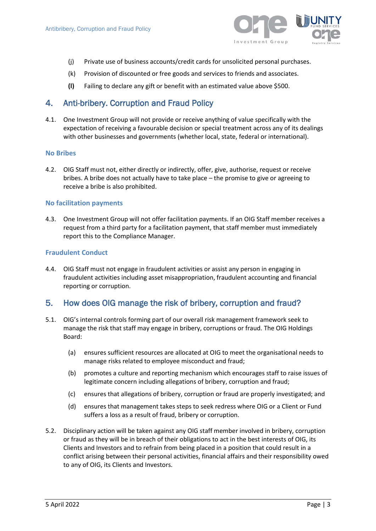

- (j) Private use of business accounts/credit cards for unsolicited personal purchases.
- (k) Provision of discounted or free goods and services to friends and associates.
- **(l)** Failing to declare any gift or benefit with an estimated value above \$500.

# <span id="page-4-0"></span>4. Anti-bribery. Corruption and Fraud Policy

4.1. One Investment Group will not provide or receive anything of value specifically with the expectation of receiving a favourable decision or special treatment across any of its dealings with other businesses and governments (whether local, state, federal or international).

### **No Bribes**

4.2. OIG Staff must not, either directly or indirectly, offer, give, authorise, request or receive bribes. A bribe does not actually have to take place – the promise to give or agreeing to receive a bribe is also prohibited.

### **No facilitation payments**

4.3. One Investment Group will not offer facilitation payments. If an OIG Staff member receives a request from a third party for a facilitation payment, that staff member must immediately report this to the Compliance Manager.

### **Fraudulent Conduct**

4.4. OIG Staff must not engage in fraudulent activities or assist any person in engaging in fraudulent activities including asset misappropriation, fraudulent accounting and financial reporting or corruption.

# 5. How does OIG manage the risk of bribery, corruption and fraud?

- 5.1. OIG's internal controls forming part of our overall risk management framework seek to manage the risk that staff may engage in bribery, corruptions or fraud. The OIG Holdings Board:
	- (a) ensures sufficient resources are allocated at OIG to meet the organisational needs to manage risks related to employee misconduct and fraud;
	- (b) promotes a culture and reporting mechanism which encourages staff to raise issues of legitimate concern including allegations of bribery, corruption and fraud;
	- (c) ensures that allegations of bribery, corruption or fraud are properly investigated; and
	- (d) ensures that management takes steps to seek redress where OIG or a Client or Fund suffers a loss as a result of fraud, bribery or corruption.
- 5.2. Disciplinary action will be taken against any OIG staff member involved in bribery, corruption or fraud as they will be in breach of their obligations to act in the best interests of OIG, its Clients and Investors and to refrain from being placed in a position that could result in a conflict arising between their personal activities, financial affairs and their responsibility owed to any of OIG, its Clients and Investors.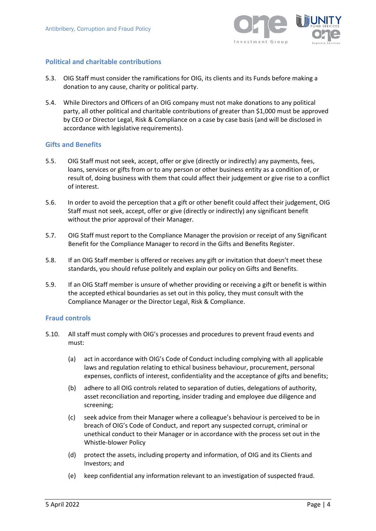

### **Political and charitable contributions**

- 5.3. OIG Staff must consider the ramifications for OIG, its clients and its Funds before making a donation to any cause, charity or political party.
- 5.4. While Directors and Officers of an OIG company must not make donations to any political party, all other political and charitable contributions of greater than \$1,000 must be approved by CEO or Director Legal, Risk & Compliance on a case by case basis (and will be disclosed in accordance with legislative requirements).

### **Gifts and Benefits**

- 5.5. OIG Staff must not seek, accept, offer or give (directly or indirectly) any payments, fees, loans, services or gifts from or to any person or other business entity as a condition of, or result of, doing business with them that could affect their judgement or give rise to a conflict of interest.
- 5.6. In order to avoid the perception that a gift or other benefit could affect their judgement, OIG Staff must not seek, accept, offer or give (directly or indirectly) any significant benefit without the prior approval of their Manager.
- 5.7. OIG Staff must report to the Compliance Manager the provision or receipt of any Significant Benefit for the Compliance Manager to record in the Gifts and Benefits Register.
- 5.8. If an OIG Staff member is offered or receives any gift or invitation that doesn't meet these standards, you should refuse politely and explain our policy on Gifts and Benefits.
- 5.9. If an OIG Staff member is unsure of whether providing or receiving a gift or benefit is within the accepted ethical boundaries as set out in this policy, they must consult with the Compliance Manager or the Director Legal, Risk & Compliance.

### **Fraud controls**

- 5.10. All staff must comply with OIG's processes and procedures to prevent fraud events and must:
	- (a) act in accordance with OIG's Code of Conduct including complying with all applicable laws and regulation relating to ethical business behaviour, procurement, personal expenses, conflicts of interest, confidentiality and the acceptance of gifts and benefits;
	- (b) adhere to all OIG controls related to separation of duties, delegations of authority, asset reconciliation and reporting, insider trading and employee due diligence and screening;
	- (c) seek advice from their Manager where a colleague's behaviour is perceived to be in breach of OIG's Code of Conduct, and report any suspected corrupt, criminal or unethical conduct to their Manager or in accordance with the process set out in the Whistle-blower Policy
	- (d) protect the assets, including property and information, of OIG and its Clients and Investors; and
	- (e) keep confidential any information relevant to an investigation of suspected fraud.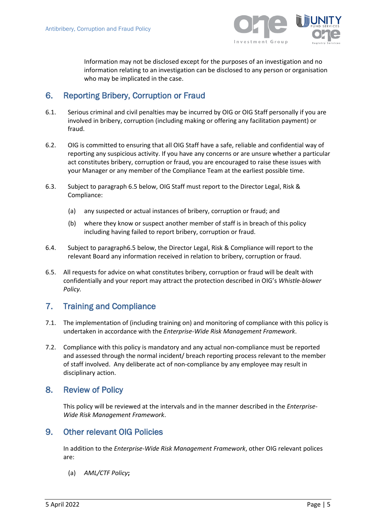

Information may not be disclosed except for the purposes of an investigation and no information relating to an investigation can be disclosed to any person or organisation who may be implicated in the case.

# <span id="page-6-0"></span>6. Reporting Bribery, Corruption or Fraud

- 6.1. Serious criminal and civil penalties may be incurred by OIG or OIG Staff personally if you are involved in bribery, corruption (including making or offering any facilitation payment) or fraud.
- 6.2. OIG is committed to ensuring that all OIG Staff have a safe, reliable and confidential way of reporting any suspicious activity. If you have any concerns or are unsure whether a particular act constitutes bribery, corruption or fraud, you are encouraged to raise these issues with your Manager or any member of the Compliance Team at the earliest possible time.
- 6.3. Subject to paragraph [6.5](#page-6-4) below, OIG Staff must report to the Director Legal, Risk & Compliance:
	- (a) any suspected or actual instances of bribery, corruption or fraud; and
	- (b) where they know or suspect another member of staff is in breach of this policy including having failed to report bribery, corruption or fraud.
- 6.4. Subject to paragrap[h6.5](#page-6-4) below, the Director Legal, Risk & Compliance will report to the relevant Board any information received in relation to bribery, corruption or fraud.
- <span id="page-6-4"></span>6.5. All requests for advice on what constitutes bribery, corruption or fraud will be dealt with confidentially and your report may attract the protection described in OIG's *Whistle-blower Policy.*

# <span id="page-6-1"></span>7. Training and Compliance

- 7.1. The implementation of (including training on) and monitoring of compliance with this policy is undertaken in accordance with the *Enterprise-Wide Risk Management Framework*.
- 7.2. Compliance with this policy is mandatory and any actual non-compliance must be reported and assessed through the normal incident/ breach reporting process relevant to the member of staff involved. Any deliberate act of non-compliance by any employee may result in disciplinary action.

# <span id="page-6-2"></span>8. Review of Policy

This policy will be reviewed at the intervals and in the manner described in the *Enterprise-Wide Risk Management Framework*.

# <span id="page-6-3"></span>9. Other relevant OIG Policies

In addition to the *Enterprise-Wide Risk Management Framework*, other OIG relevant polices are:

(a) *AML/CTF Policy***;**